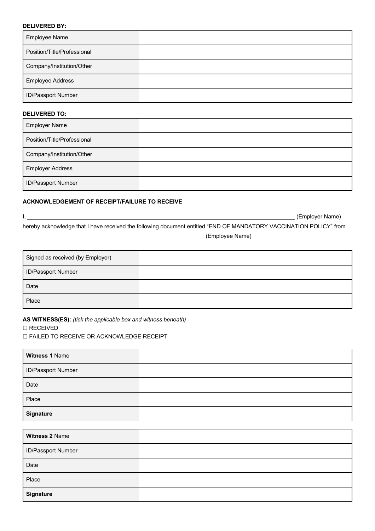### **DELIVERED BY:**

| <b>Employee Name</b>        |  |
|-----------------------------|--|
| Position/Title/Professional |  |
| Company/Institution/Other   |  |
| <b>Employee Address</b>     |  |
| <b>ID/Passport Number</b>   |  |

### **DELIVERED TO:**

| <b>Employer Name</b>        |  |
|-----------------------------|--|
| Position/Title/Professional |  |
| Company/Institution/Other   |  |
| <b>Employer Address</b>     |  |
| <b>ID/Passport Number</b>   |  |

#### **ACKNOWLEDGEMENT OF RECEIPT/FAILURE TO RECEIVE**

I, Sammen and Comparison (Employer Name) (Employer Name) hereby acknowledge that I have received the following document entitled "END OF MANDATORY VACCINATION POLICY" from

**Employee Name**)

| Signed as received (by Employer) |  |
|----------------------------------|--|
| <b>ID/Passport Number</b>        |  |
| Date                             |  |
| Place                            |  |

**AS WITNESS(ES):** *(tick the applicable box and witness beneath)*

#### ☐ RECEIVED

☐ FAILED TO RECEIVE OR ACKNOWLEDGE RECEIPT

| Witness 1 Name     |  |
|--------------------|--|
| ID/Passport Number |  |
| Date               |  |
| Place              |  |
| <b>Signature</b>   |  |

| Witness 2 Name     |  |
|--------------------|--|
| ID/Passport Number |  |
| Date               |  |
| Place              |  |
| <b>Signature</b>   |  |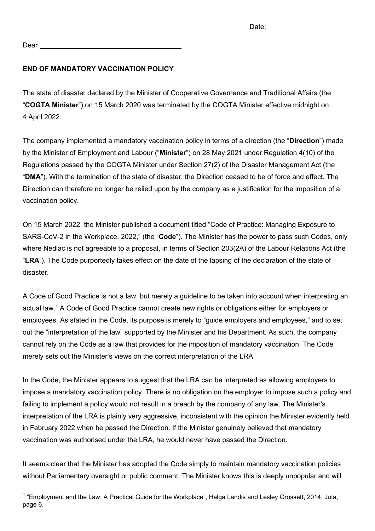Dear

# **END OF MANDATORY VACCINATION POLICY**

The state of disaster declared by the Minister of Cooperative Governance and Traditional Affairs (the "**COGTA Minister**") on 15 March 2020 was terminated by the COGTA Minister effective midnight on 4 April 2022.

The company implemented a mandatory vaccination policy in terms of a direction (the "**Direction**") made by the Minister of Employment and Labour ("**Minister**") on 28 May 2021 under Regulation 4(10) of the Regulations passed by the COGTA Minister under Section 27(2) of the Disaster Management Act (the "**DMA**"). With the termination of the state of disaster, the Direction ceased to be of force and effect. The Direction can therefore no longer be relied upon by the company as a justification for the imposition of a vaccination policy.

On 15 March 2022, the Minister published a document titled "Code of Practice: Managing Exposure to SARS-CoV-2 in the Workplace, 2022," (the "**Code**"). The Minister has the power to pass such Codes, only where Nedlac is not agreeable to a proposal, in terms of Section 203(2A) of the Labour Relations Act (the "**LRA**"). The Code purportedly takes effect on the date of the lapsing of the declaration of the state of disaster.

A Code of Good Practice is not a law, but merely a guideline to be taken into account when interpreting an actual law.<sup>1</sup> A Code of Good Practice cannot create new rights or obligations either for employers or employees. As stated in the Code, its purpose is merely to "guide employers and employees," and to set out the "interpretation of the law" supported by the Minister and his Department. As such, the company cannot rely on the Code as a law that provides for the imposition of mandatory vaccination. The Code merely sets out the Minister's views on the correct interpretation of the LRA.

In the Code, the Minister appears to suggest that the LRA can be interpreted as allowing employers to impose a mandatory vaccination policy. There is no obligation on the employer to impose such a policy and failing to implement a policy would not result in a breach by the company of any law. The Minister's interpretation of the LRA is plainly very aggressive, inconsistent with the opinion the Minister evidently held in February 2022 when he passed the Direction. If the Minister genuinely believed that mandatory vaccination was authorised under the LRA, he would never have passed the Direction.

It seems clear that the Minister has adopted the Code simply to maintain mandatory vaccination policies without Parliamentary oversight or public comment. The Minister knows this is deeply unpopular and will

<sup>&</sup>lt;sup>1</sup> "Employment and the Law: A Practical Guide for the Workplace", Helga Landis and Lesley Grossett, 2014, Juta, page 6.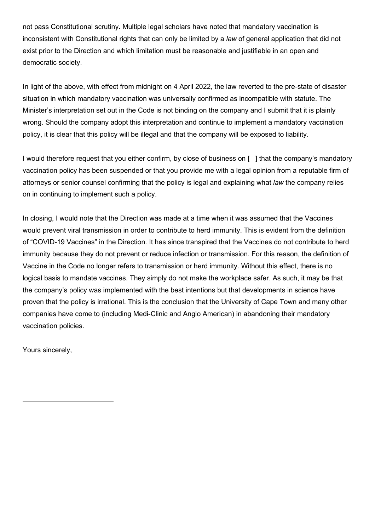not pass Constitutional scrutiny. Multiple legal scholars have noted that mandatory vaccination is inconsistent with Constitutional rights that can only be limited by a *law* of general application that did not exist prior to the Direction and which limitation must be reasonable and justifiable in an open and democratic society.

In light of the above, with effect from midnight on 4 April 2022, the law reverted to the pre-state of disaster situation in which mandatory vaccination was universally confirmed as incompatible with statute. The Minister's interpretation set out in the Code is not binding on the company and I submit that it is plainly wrong. Should the company adopt this interpretation and continue to implement a mandatory vaccination policy, it is clear that this policy will be illegal and that the company will be exposed to liability.

I would therefore request that you either confirm, by close of business on [ ] that the company's mandatory vaccination policy has been suspended or that you provide me with a legal opinion from a reputable firm of attorneys or senior counsel confirming that the policy is legal and explaining what *law* the company relies on in continuing to implement such a policy.

In closing, I would note that the Direction was made at a time when it was assumed that the Vaccines would prevent viral transmission in order to contribute to herd immunity. This is evident from the definition of "COVID-19 Vaccines" in the Direction. It has since transpired that the Vaccines do not contribute to herd immunity because they do not prevent or reduce infection or transmission. For this reason, the definition of Vaccine in the Code no longer refers to transmission or herd immunity. Without this effect, there is no logical basis to mandate vaccines. They simply do not make the workplace safer. As such, it may be that the company's policy was implemented with the best intentions but that developments in science have proven that the policy is irrational. This is the conclusion that the University of Cape Town and many other companies have come to (including Medi-Clinic and Anglo American) in abandoning their mandatory vaccination policies.

Yours sincerely,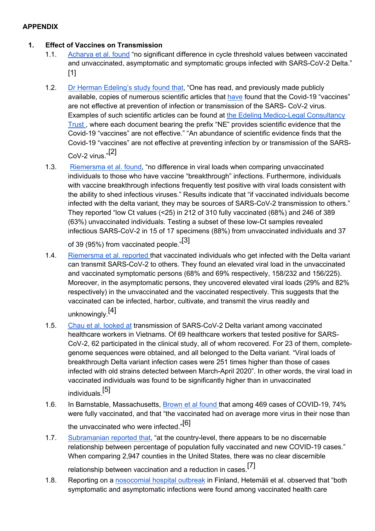## **1. Effect of Vaccines on Transmission**

- 1.1. Acharya et al. found "no significant difference in cycle threshold values between vaccinated and unvaccinated, asymptomatic and symptomatic groups infected with SARS-CoV-2 Delta." [1]
- 1.2. Dr Herman Edeling's study found that, "One has read, and previously made publicly available, copies of numerous scientific articles that have found that the Covid-19 "vaccines" are not effective at prevention of infection or transmission of the SARS- CoV-2 virus. Examples of such scientific articles can be found at the Edeling Medico-Legal Consultancy Trust , where each document bearing the prefix "NE" provides scientific evidence that the Covid-19 "vaccines" are not effective." "An abundance of scientific evidence finds that the Covid-19 "vaccines" are not effective at preventing infection by or transmission of the SARS-CoV-2 virus."[2]
- 1.3. Riemersma et al. found, "no difference in viral loads when comparing unvaccinated individuals to those who have vaccine "breakthrough" infections. Furthermore, individuals with vaccine breakthrough infections frequently test positive with viral loads consistent with the ability to shed infectious viruses." Results indicate that "if vaccinated individuals become infected with the delta variant, they may be sources of SARS-CoV-2 transmission to others." They reported "low Ct values (<25) in 212 of 310 fully vaccinated (68%) and 246 of 389 (63%) unvaccinated individuals. Testing a subset of these low-Ct samples revealed infectious SARS-CoV-2 in 15 of 17 specimens (88%) from unvaccinated individuals and 37

of 39 (95%) from vaccinated people."[3]

- 1.4. Riemersma et al. reported that vaccinated individuals who get infected with the Delta variant can transmit SARS-CoV-2 to others. They found an elevated viral load in the unvaccinated and vaccinated symptomatic persons (68% and 69% respectively, 158/232 and 156/225). Moreover, in the asymptomatic persons, they uncovered elevated viral loads (29% and 82% respectively) in the unvaccinated and the vaccinated respectively. This suggests that the vaccinated can be infected, harbor, cultivate, and transmit the virus readily and unknowingly.[4]
- 1.5. Chau et al. looked at transmission of SARS-CoV-2 Delta variant among vaccinated healthcare workers in Vietnams. Of 69 healthcare workers that tested positive for SARS-CoV-2, 62 participated in the clinical study, all of whom recovered. For 23 of them, completegenome sequences were obtained, and all belonged to the Delta variant. "Viral loads of breakthrough Delta variant infection cases were 251 times higher than those of cases infected with old strains detected between March-April 2020". In other words, the viral load in vaccinated individuals was found to be significantly higher than in unvaccinated individuals.[5]
- 1.6. In Barnstable, Massachusetts, Brown et al found that among 469 cases of COVID-19, 74% were fully vaccinated, and that "the vaccinated had on average more virus in their nose than the unvaccinated who were infected."[6]
- 1.7. Subramanian reported that, "at the country-level, there appears to be no discernable relationship between percentage of population fully vaccinated and new COVID-19 cases." When comparing 2,947 counties in the United States, there was no clear discernible

relationship between vaccination and a reduction in cases.[7]

1.8. Reporting on a nosocomial hospital outbreak in Finland, Hetemäli et al. observed that "both symptomatic and asymptomatic infections were found among vaccinated health care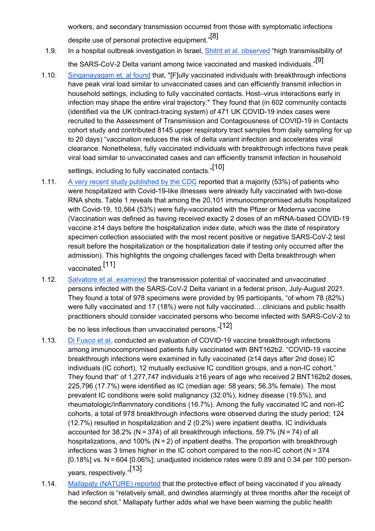workers, and secondary transmission occurred from those with symptomatic infections despite use of personal protective equipment."<sup>[8]</sup>

- 1.9. In a hospital outbreak investigation in Israel, Shitrit et al. observed "high transmissibility of the SARS-CoV-2 Delta variant among twice vaccinated and masked individuals."[9]
- 1.10. Singanayagam et. al found that, "[F]ully vaccinated individuals with breakthrough infections have peak viral load similar to unvaccinated cases and can efficiently transmit infection in household settings, including to fully vaccinated contacts. Host–virus interactions early in infection may shape the entire viral trajectory." They found that (in 602 community contacts (identified via the UK contract-tracing system) of 471 UK COVID-19 index cases were recruited to the Assessment of Transmission and Contagiousness of COVID-19 in Contacts cohort study and contributed 8145 upper respiratory tract samples from daily sampling for up to 20 days) "vaccination reduces the risk of delta variant infection and accelerates viral clearance. Nonetheless, fully vaccinated individuals with breakthrough infections have peak viral load similar to unvaccinated cases and can efficiently transmit infection in household

settings, including to fully vaccinated contacts."[10]

- 1.11. A very recent study published by the CDC reported that a majority (53%) of patients who were hospitalized with Covid-19-like illnesses were already fully vaccinated with two-dose RNA shots. Table 1 reveals that among the 20,101 immunocompromised adults hospitalized with Covid-19, 10,564 (53%) were fully-vaccinated with the Pfizer or Moderna vaccine (Vaccination was defined as having received exactly 2 doses of an mRNA-based COVID-19 vaccine ≥14 days before the hospitalization index date, which was the date of respiratory specimen collection associated with the most recent positive or negative SARS-CoV-2 test result before the hospitalization or the hospitalization date if testing only occurred after the admission). This highlights the ongoing challenges faced with Delta breakthrough when vaccinated.[11]
- 1.12. Salvatore et al. examined the transmission potential of vaccinated and unvaccinated persons infected with the SARS-CoV-2 Delta variant in a federal prison, July-August 2021. They found a total of 978 specimens were provided by 95 participants, "of whom 78 (82%) were fully vaccinated and 17 (18%) were not fully vaccinated….clinicians and public health practitioners should consider vaccinated persons who become infected with SARS-CoV-2 to

be no less infectious than unvaccinated persons."[12]

- 1.13. Di Fusco et al. conducted an evaluation of COVID-19 vaccine breakthrough infections among immunocompromised patients fully vaccinated with BNT162b2. "COVID-19 vaccine breakthrough infections were examined in fully vaccinated (≥14 days after 2nd dose) IC individuals (IC cohort), 12 mutually exclusive IC condition groups, and a non-IC cohort." They found that" of 1,277,747 individuals ≥16 years of age who received 2 BNT162b2 doses, 225,796 (17.7%) were identified as IC (median age: 58 years; 56.3% female). The most prevalent IC conditions were solid malignancy (32.0%), kidney disease (19.5%), and rheumatologic/inflammatory conditions (16.7%). Among the fully vaccinated IC and non-IC cohorts, a total of 978 breakthrough infections were observed during the study period; 124 (12.7%) resulted in hospitalization and 2 (0.2%) were inpatient deaths. IC individuals accounted for 38.2% (N = 374) of all breakthrough infections, 59.7% (N = 74) of all hospitalizations, and 100% (N = 2) of inpatient deaths. The proportion with breakthrough infections was 3 times higher in the IC cohort compared to the non-IC cohort (N = 374 [0.18%] vs. N = 604 [0.06%]; unadjusted incidence rates were 0.89 and 0.34 per 100 personyears, respectively."[13]
- 1.14. Mallapaty (NATURE) reported that the protective effect of being vaccinated if you already had infection is "relatively small, and dwindles alarmingly at three months after the receipt of the second shot." Mallapaty further adds what we have been warning the public health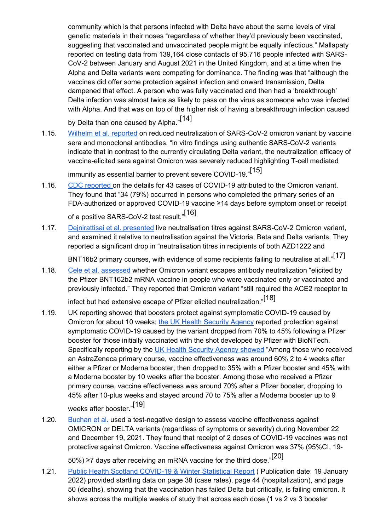community which is that persons infected with Delta have about the same levels of viral genetic materials in their noses "regardless of whether they'd previously been vaccinated, suggesting that vaccinated and unvaccinated people might be equally infectious." Mallapaty reported on testing data from 139,164 close contacts of 95,716 people infected with SARS-CoV-2 between January and August 2021 in the United Kingdom, and at a time when the Alpha and Delta variants were competing for dominance. The finding was that "although the vaccines did offer some protection against infection and onward transmission, Delta dampened that effect. A person who was fully vaccinated and then had a 'breakthrough' Delta infection was almost twice as likely to pass on the virus as someone who was infected with Alpha. And that was on top of the higher risk of having a breakthrough infection caused

by Delta than one caused by Alpha."<sup>[14]</sup>

1.15. Wilhelm et al. reported on reduced neutralization of SARS-CoV-2 omicron variant by vaccine sera and monoclonal antibodies. "in vitro findings using authentic SARS-CoV-2 variants indicate that in contrast to the currently circulating Delta variant, the neutralization efficacy of vaccine-elicited sera against Omicron was severely reduced highlighting T-cell mediated

immunity as essential barrier to prevent severe COVID-19."[15]

1.16. CDC reported on the details for 43 cases of COVID-19 attributed to the Omicron variant. They found that "34 (79%) occurred in persons who completed the primary series of an FDA-authorized or approved COVID-19 vaccine ≥14 days before symptom onset or receipt of a positive SARS-CoV-2 test result."<sup>[16]</sup>

1.17. Dejnirattisai et al. presented live neutralisation titres against SARS-CoV-2 Omicron variant, and examined it relative to neutralisation against the Victoria, Beta and Delta variants. They reported a significant drop in "neutralisation titres in recipients of both AZD1222 and

BNT16b2 primary courses, with evidence of some recipients failing to neutralise at all."<sup>[17]</sup>

1.18. Cele et al. assessed whether Omicron variant escapes antibody neutralization "elicited by the Pfizer BNT162b2 mRNA vaccine in people who were vaccinated only or vaccinated and previously infected." They reported that Omicron variant "still required the ACE2 receptor to

infect but had extensive escape of Pfizer elicited neutralization."[18]

- 1.19. UK reporting showed that boosters protect against symptomatic COVID-19 caused by Omicron for about 10 weeks; the UK Health Security Agency reported protection against symptomatic COVID-19 caused by the variant dropped from 70% to 45% following a Pfizer booster for those initially vaccinated with the shot developed by Pfizer with BioNTech. Specifically reporting by the UK Health Security Agency showed "Among those who received an AstraZeneca primary course, vaccine effectiveness was around 60% 2 to 4 weeks after either a Pfizer or Moderna booster, then dropped to 35% with a Pfizer booster and 45% with a Moderna booster by 10 weeks after the booster. Among those who received a Pfizer primary course, vaccine effectiveness was around 70% after a Pfizer booster, dropping to 45% after 10-plus weeks and stayed around 70 to 75% after a Moderna booster up to 9 weeks after booster."[19]
- 1.20. Buchan et al. used a test-negative design to assess vaccine effectiveness against OMICRON or DELTA variants (regardless of symptoms or severity) during November 22 and December 19, 2021. They found that receipt of 2 doses of COVID-19 vaccines was not protective against Omicron. Vaccine effectiveness against Omicron was 37% (95%CI, 19-

50%) ≥7 days after receiving an mRNA vaccine for the third dose."[20]

1.21. Public Health Scotland COVID-19 & Winter Statistical Report ( Publication date: 19 January 2022) provided startling data on page 38 (case rates), page 44 (hospitalization), and page 50 (deaths), showing that the vaccination has failed Delta but critically, is failing omicron. It shows across the multiple weeks of study that across each dose (1 vs 2 vs 3 booster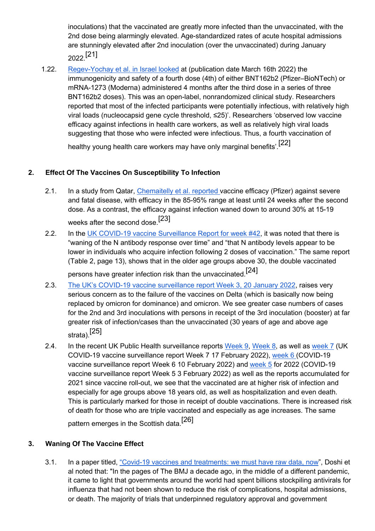inoculations) that the vaccinated are greatly more infected than the unvaccinated, with the 2nd dose being alarmingly elevated. Age-standardized rates of acute hospital admissions are stunningly elevated after 2nd inoculation (over the unvaccinated) during January 2022.[21]

1.22. Regev-Yochay et al. in Israel looked at (publication date March 16th 2022) the immunogenicity and safety of a fourth dose (4th) of either BNT162b2 (Pfizer–BioNTech) or mRNA-1273 (Moderna) administered 4 months after the third dose in a series of three BNT162b2 doses). This was an open-label, nonrandomized clinical study. Researchers reported that most of the infected participants were potentially infectious, with relatively high viral loads (nucleocapsid gene cycle threshold, ≤25)'. Researchers 'observed low vaccine efficacy against infections in health care workers, as well as relatively high viral loads suggesting that those who were infected were infectious. Thus, a fourth vaccination of

healthy young health care workers may have only marginal benefits'.[22]

# **2. Effect Of The Vaccines On Susceptibility To Infection**

- 2.1. In a study from Qatar, Chemaitelly et al. reported vaccine efficacy (Pfizer) against severe and fatal disease, with efficacy in the 85-95% range at least until 24 weeks after the second dose. As a contrast, the efficacy against infection waned down to around 30% at 15-19 weeks after the second dose.[23]
- 2.2. In the UK COVID-19 vaccine Surveillance Report for week #42, it was noted that there is "waning of the N antibody response over time" and "that N antibody levels appear to be lower in individuals who acquire infection following 2 doses of vaccination." The same report (Table 2, page 13), shows that in the older age groups above 30, the double vaccinated

persons have greater infection risk than the unvaccinated.[24]

- 2.3. The UK's COVID-19 vaccine surveillance report Week 3, 20 January 2022, raises very serious concern as to the failure of the vaccines on Delta (which is basically now being replaced by omicron for dominance) and omicron. We see greater case numbers of cases for the 2nd and 3rd inoculations with persons in receipt of the 3rd inoculation (booster) at far greater risk of infection/cases than the unvaccinated (30 years of age and above age strata).[25]
- 2.4. In the recent UK Public Health surveillance reports Week 9, Week 8, as well as week 7 (UK COVID-19 vaccine surveillance report Week 7 17 February 2022), week 6 (COVID-19 vaccine surveillance report Week 6 10 February 2022) and week 5 for 2022 (COVID-19 vaccine surveillance report Week 5 3 February 2022) as well as the reports accumulated for 2021 since vaccine roll-out, we see that the vaccinated are at higher risk of infection and especially for age groups above 18 years old, as well as hospitalization and even death. This is particularly marked for those in receipt of double vaccinations. There is increased risk of death for those who are triple vaccinated and especially as age increases. The same pattern emerges in the Scottish data.<sup>[26]</sup>

# **3. Waning Of The Vaccine Effect**

3.1. In a paper titled, "Covid-19 vaccines and treatments: we must have raw data, now", Doshi et al noted that: "In the pages of The BMJ a decade ago, in the middle of a different pandemic, it came to light that governments around the world had spent billions stockpiling antivirals for influenza that had not been shown to reduce the risk of complications, hospital admissions, or death. The majority of trials that underpinned regulatory approval and government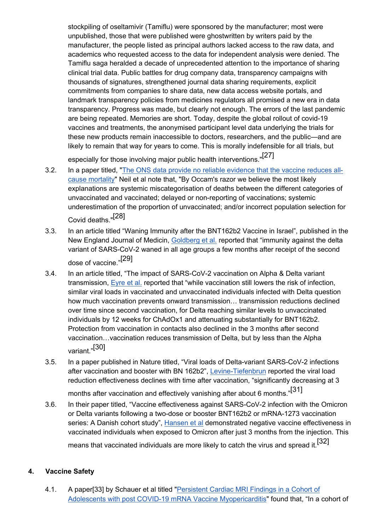stockpiling of oseltamivir (Tamiflu) were sponsored by the manufacturer; most were unpublished, those that were published were ghostwritten by writers paid by the manufacturer, the people listed as principal authors lacked access to the raw data, and academics who requested access to the data for independent analysis were denied. The Tamiflu saga heralded a decade of unprecedented attention to the importance of sharing clinical trial data. Public battles for drug company data, transparency campaigns with thousands of signatures, strengthened journal data sharing requirements, explicit commitments from companies to share data, new data access website portals, and landmark transparency policies from medicines regulators all promised a new era in data transparency. Progress was made, but clearly not enough. The errors of the last pandemic are being repeated. Memories are short. Today, despite the global rollout of covid-19 vaccines and treatments, the anonymised participant level data underlying the trials for these new products remain inaccessible to doctors, researchers, and the public—and are likely to remain that way for years to come. This is morally indefensible for all trials, but

especially for those involving major public health interventions."<sup>[27]</sup>

- 3.2. In a paper titled, "The ONS data provide no reliable evidence that the vaccine reduces allcause mortality" Neil et al note that, "By Occam's razor we believe the most likely explanations are systemic miscategorisation of deaths between the different categories of unvaccinated and vaccinated; delayed or non-reporting of vaccinations; systemic underestimation of the proportion of unvaccinated; and/or incorrect population selection for Covid deaths "[28]
- 3.3. In an article titled "Waning Immunity after the BNT162b2 Vaccine in Israel", published in the New England Journal of Medicin, Goldberg et al. reported that "immunity against the delta variant of SARS-CoV-2 waned in all age groups a few months after receipt of the second dose of vaccine."[29]
- 3.4. In an article titled, "The impact of SARS-CoV-2 vaccination on Alpha & Delta variant transmission, Eyre et al. reported that "while vaccination still lowers the risk of infection, similar viral loads in vaccinated and unvaccinated individuals infected with Delta question how much vaccination prevents onward transmission… transmission reductions declined over time since second vaccination, for Delta reaching similar levels to unvaccinated individuals by 12 weeks for ChAdOx1 and attenuating substantially for BNT162b2. Protection from vaccination in contacts also declined in the 3 months after second vaccination…vaccination reduces transmission of Delta, but by less than the Alpha variant."[30]
- 3.5. In a paper published in Nature titled, "Viral loads of Delta-variant SARS-CoV-2 infections after vaccination and booster with BN 162b2", Levine-Tiefenbrun reported the viral load reduction effectiveness declines with time after vaccination, "significantly decreasing at 3

months after vaccination and effectively vanishing after about 6 months."[31]

3.6. In their paper titled, "Vaccine effectiveness against SARS-CoV-2 infection with the Omicron or Delta variants following a two-dose or booster BNT162b2 or mRNA-1273 vaccination series: A Danish cohort study", Hansen et al demonstrated negative vaccine effectiveness in vaccinated individuals when exposed to Omicron after just 3 months from the injection. This means that vaccinated individuals are more likely to catch the virus and spread it.<sup>[32]</sup>

# **4. Vaccine Safety**

4.1. A paper[33] by Schauer et al titled "Persistent Cardiac MRI Findings in a Cohort of Adolescents with post COVID-19 mRNA Vaccine Myopericarditis" found that, "In a cohort of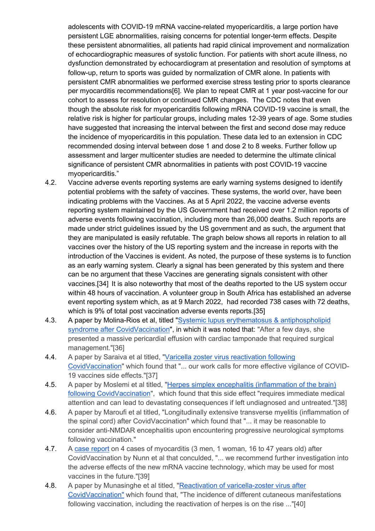adolescents with COVID-19 mRNA vaccine-related myopericarditis, a large portion have persistent LGE abnormalities, raising concerns for potential longer-term effects. Despite these persistent abnormalities, all patients had rapid clinical improvement and normalization of echocardiographic measures of systolic function. For patients with short acute illness, no dysfunction demonstrated by echocardiogram at presentation and resolution of symptoms at follow-up, return to sports was guided by normalization of CMR alone. In patients with persistent CMR abnormalities we performed exercise stress testing prior to sports clearance per myocarditis recommendations[6]. We plan to repeat CMR at 1 year post-vaccine for our cohort to assess for resolution or continued CMR changes. The CDC notes that even though the absolute risk for myopericarditis following mRNA COVID-19 vaccine is small, the relative risk is higher for particular groups, including males 12-39 years of age. Some studies have suggested that increasing the interval between the first and second dose may reduce the incidence of myopericarditis in this population. These data led to an extension in CDC recommended dosing interval between dose 1 and dose 2 to 8 weeks. Further follow up assessment and larger multicenter studies are needed to determine the ultimate clinical significance of persistent CMR abnormalities in patients with post COVID-19 vaccine myopericarditis."

- 4.2. Vaccine adverse events reporting systems are early warning systems designed to identify potential problems with the safety of vaccines. These systems, the world over, have been indicating problems with the Vaccines. As at 5 April 2022, the vaccine adverse events reporting system maintained by the US Government had received over 1.2 million reports of adverse events following vaccination, including more than 26,000 deaths. Such reports are made under strict guidelines issued by the US government and as such, the argument that they are manipulated is easily refutable. The graph below shows all reports in relation to all vaccines over the history of the US reporting system and the increase in reports with the introduction of the Vaccines is evident. As noted, the purpose of these systems is to function as an early warning system. Clearly a signal has been generated by this system and there can be no argument that these Vaccines are generating signals consistent with other vaccines.[34] It is also noteworthy that most of the deaths reported to the US system occur within 48 hours of vaccination. A volunteer group in South Africa has established an adverse event reporting system which, as at 9 March 2022, had recorded 738 cases with 72 deaths, which is 9% of total post vaccination adverse events reports.[35]
- 4.3. A paper by Molina-Rios et al, titled "Systemic lupus erythematosus & antiphospholipid syndrome after CovidVaccination", in which it was noted that: "After a few days, she presented a massive pericardial effusion with cardiac tamponade that required surgical management."[36]
- 4.4. A paper by Saraiva et al titled, "Varicella zoster virus reactivation following CovidVaccination" which found that "... our work calls for more effective vigilance of COVID-19 vaccines side effects."[37]
- 4.5. A paper by Moslemi et al titled, "Herpes simplex encephalitis (inflammation of the brain) following CovidVaccination", which found that this side effect "requires immediate medical attention and can lead to devastating consequences if left undiagnosed and untreated."[38]
- 4.6. A paper by Maroufi et al titled, "Longitudinally extensive transverse myelitis (inflammation of the spinal cord) after CovidVaccination" which found that "... it may be reasonable to consider anti-NMDAR encephalitis upon encountering progressive neurological symptoms following vaccination."
- 4.7. A case report on 4 cases of myocarditis (3 men, 1 woman, 16 to 47 years old) after CovidVaccination by Nunn et al that conculded, "... we recommend further investigation into the adverse effects of the new mRNA vaccine technology, which may be used for most vaccines in the future."[39]
- 4.8. A paper by Munasinghe et al titled, "Reactivation of varicella-zoster virus after CovidVaccination" which found that, "The incidence of different cutaneous manifestations following vaccination, including the reactivation of herpes is on the rise ..."[40]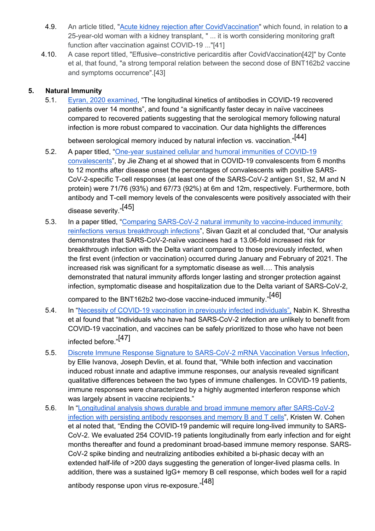- 4.9. An article titled, "Acute kidney rejection after CovidVaccination" which found, in relation to a 25-year-old woman with a kidney transplant, " ... it is worth considering monitoring graft function after vaccination against COVID-19 ..."[41]
- 4.10. A case report titled, "Effusive–constrictive pericarditis after CovidVaccination[42]" by Conte et al, that found, "a strong temporal relation between the second dose of BNT162b2 vaccine and symptoms occurrence".[43]

## **5. Natural Immunity**

5.1. Eyran, 2020 examined, "The longitudinal kinetics of antibodies in COVID-19 recovered patients over 14 months", and found "a significantly faster decay in naïve vaccinees compared to recovered patients suggesting that the serological memory following natural infection is more robust compared to vaccination. Our data highlights the differences

between serological memory induced by natural infection vs. vaccination."[44]

- 5.2. A paper titled, "One-year sustained cellular and humoral immunities of COVID-19 convalescents", by Jie Zhang et al showed that in COVID-19 convalescents from 6 months to 12 months after disease onset the percentages of convalescents with positive SARS-CoV-2-specific T-cell responses (at least one of the SARS-CoV-2 antigen S1, S2, M and N protein) were 71/76 (93%) and 67/73 (92%) at 6m and 12m, respectively. Furthermore, both antibody and T-cell memory levels of the convalescents were positively associated with their disease severity."[45]
- 5.3. In a paper titled, "Comparing SARS-CoV-2 natural immunity to vaccine-induced immunity: reinfections versus breakthrough infections", Sivan Gazit et al concluded that, "Our analysis demonstrates that SARS-CoV-2-naïve vaccinees had a 13.06-fold increased risk for breakthrough infection with the Delta variant compared to those previously infected, when the first event (infection or vaccination) occurred during January and February of 2021. The increased risk was significant for a symptomatic disease as well…. This analysis demonstrated that natural immunity affords longer lasting and stronger protection against infection, symptomatic disease and hospitalization due to the Delta variant of SARS-CoV-2,

compared to the BNT162b2 two-dose vaccine-induced immunity."[46]

- 5.4. In "Necessity of COVID-19 vaccination in previously infected individuals", Nabin K. Shrestha et al found that "Individuals who have had SARS-CoV-2 infection are unlikely to benefit from COVID-19 vaccination, and vaccines can be safely prioritized to those who have not been infected before."[47]
- 5.5. Discrete Immune Response Signature to SARS-CoV-2 mRNA Vaccination Versus Infection, by Ellie Ivanova, Joseph Devlin, et al. found that, "While both infection and vaccination induced robust innate and adaptive immune responses, our analysis revealed significant qualitative differences between the two types of immune challenges. In COVID-19 patients, immune responses were characterized by a highly augmented interferon response which was largely absent in vaccine recipients."
- 5.6. In "Longitudinal analysis shows durable and broad immune memory after SARS-CoV-2 infection with persisting antibody responses and memory B and T cells", Kristen W. Cohen et al noted that, "Ending the COVID-19 pandemic will require long-lived immunity to SARS-CoV-2. We evaluated 254 COVID-19 patients longitudinally from early infection and for eight months thereafter and found a predominant broad-based immune memory response. SARS-CoV-2 spike binding and neutralizing antibodies exhibited a bi-phasic decay with an extended half-life of >200 days suggesting the generation of longer-lived plasma cells. In addition, there was a sustained IgG+ memory B cell response, which bodes well for a rapid

antibody response upon virus re-exposure."[48]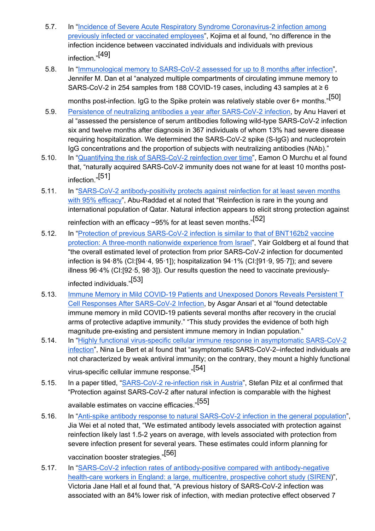- 5.7. In "Incidence of Severe Acute Respiratory Syndrome Coronavirus-2 infection among previously infected or vaccinated employees", Kojima et al found, "no difference in the infection incidence between vaccinated individuals and individuals with previous infection."[49]
- 5.8. In "Immunological memory to SARS-CoV-2 assessed for up to 8 months after infection", Jennifer M. Dan et al "analyzed multiple compartments of circulating immune memory to SARS-CoV-2 in 254 samples from 188 COVID-19 cases, including 43 samples at ≥ 6

months post-infection. IgG to the Spike protein was relatively stable over 6+ months."<sup>[50]</sup>

- 5.9. Persistence of neutralizing antibodies a year after SARS-CoV-2 infection, by Anu Haveri et al "assessed the persistence of serum antibodies following wild-type SARS-CoV-2 infection six and twelve months after diagnosis in 367 individuals of whom 13% had severe disease requiring hospitalization. We determined the SARS-CoV-2 spike (S-IgG) and nucleoprotein IgG concentrations and the proportion of subjects with neutralizing antibodies (NAb)."
- 5.10. In "Quantifying the risk of SARS-CoV-2 reinfection over time", Eamon O Murchu et al found that, "naturally acquired SARS-CoV-2 immunity does not wane for at least 10 months postinfection."[51]
- 5.11. In "SARS-CoV-2 antibody-positivity protects against reinfection for at least seven months with 95% efficacy", Abu-Raddad et al noted that "Reinfection is rare in the young and international population of Qatar. Natural infection appears to elicit strong protection against reinfection with an efficacy ~95% for at least seven months."<sup>[52]</sup>
- 5.12. In "Protection of previous SARS-CoV-2 infection is similar to that of BNT162b2 vaccine protection: A three-month nationwide experience from Israel", Yair Goldberg et al found that "the overall estimated level of protection from prior SARS-CoV-2 infection for documented infection is 94·8% (CI:[94·4, 95·1]); hospitalization 94·1% (CI:[91·9, 95·7]); and severe illness 96·4% (CI:[92·5, 98·3]). Our results question the need to vaccinate previouslyinfected individuals."[53]
- 5.13. Immune Memory in Mild COVID-19 Patients and Unexposed Donors Reveals Persistent T Cell Responses After SARS-CoV-2 Infection, by Asgar Ansari et al "found detectable immune memory in mild COVID-19 patients several months after recovery in the crucial arms of protective adaptive immunity." "This study provides the evidence of both high magnitude pre-existing and persistent immune memory in Indian population."
- 5.14. In "Highly functional virus-specific cellular immune response in asymptomatic SARS-CoV-2 infection", Nina Le Bert et al found that "asymptomatic SARS-CoV-2–infected individuals are not characterized by weak antiviral immunity; on the contrary, they mount a highly functional virus-specific cellular immune response."[54]
- 5.15. In a paper titled, "SARS-CoV-2 re-infection risk in Austria", Stefan Pilz et al confirmed that "Protection against SARS-CoV-2 after natural infection is comparable with the highest available estimates on vaccine efficacies."[55]
- 5.16. In "Anti-spike antibody response to natural SARS-CoV-2 infection in the general population", Jia Wei et al noted that, "We estimated antibody levels associated with protection against reinfection likely last 1.5-2 years on average, with levels associated with protection from severe infection present for several years. These estimates could inform planning for vaccination booster strategies."[56]
- 5.17. In "SARS-CoV-2 infection rates of antibody-positive compared with antibody-negative health-care workers in England: a large, multicentre, prospective cohort study (SIREN)", Victoria Jane Hall et al found that, "A previous history of SARS-CoV-2 infection was associated with an 84% lower risk of infection, with median protective effect observed 7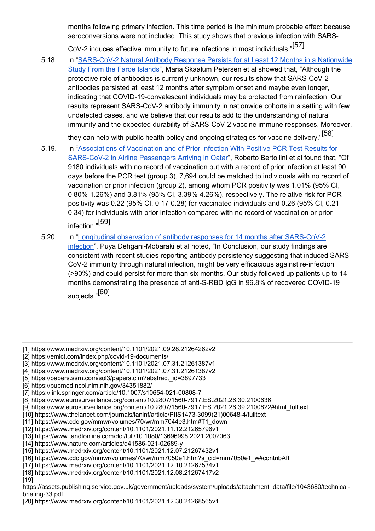months following primary infection. This time period is the minimum probable effect because seroconversions were not included. This study shows that previous infection with SARS-

CoV-2 induces effective immunity to future infections in most individuals."[57]

5.18. In "SARS-CoV-2 Natural Antibody Response Persists for at Least 12 Months in a Nationwide Study From the Faroe Islands", Maria Skaalum Petersen et al showed that, "Although the protective role of antibodies is currently unknown, our results show that SARS-CoV-2 antibodies persisted at least 12 months after symptom onset and maybe even longer, indicating that COVID-19-convalescent individuals may be protected from reinfection. Our results represent SARS-CoV-2 antibody immunity in nationwide cohorts in a setting with few undetected cases, and we believe that our results add to the understanding of natural immunity and the expected durability of SARS-CoV-2 vaccine immune responses. Moreover,

they can help with public health policy and ongoing strategies for vaccine delivery."[58]

- 5.19. In "Associations of Vaccination and of Prior Infection With Positive PCR Test Results for SARS-CoV-2 in Airline Passengers Arriving in Qatar", Roberto Bertollini et al found that, "Of 9180 individuals with no record of vaccination but with a record of prior infection at least 90 days before the PCR test (group 3), 7,694 could be matched to individuals with no record of vaccination or prior infection (group 2), among whom PCR positivity was 1.01% (95% CI, 0.80%-1.26%) and 3.81% (95% CI, 3.39%-4.26%), respectively. The relative risk for PCR positivity was 0.22 (95% CI, 0.17-0.28) for vaccinated individuals and 0.26 (95% CI, 0.21- 0.34) for individuals with prior infection compared with no record of vaccination or prior infection."[59]
- 5.20. In "Longitudinal observation of antibody responses for 14 months after SARS-CoV-2 infection", Puya Dehgani-Mobaraki et al noted, "In Conclusion, our study findings are consistent with recent studies reporting antibody persistency suggesting that induced SARS-CoV-2 immunity through natural infection, might be very efficacious against re-infection (>90%) and could persist for more than six months. Our study followed up patients up to 14 months demonstrating the presence of anti-S-RBD IgG in 96.8% of recovered COVID-19 subjects."[60]

[3] https://www.medrxiv.org/content/10.1101/2021.07.31.21261387v1

- [8] https://www.eurosurveillance.org/content/10.2807/1560-7917.ES.2021.26.30.2100636
- [9] https://www.eurosurveillance.org/content/10.2807/1560-7917.ES.2021.26.39.2100822#html\_fulltext
- [10] https://www.thelancet.com/journals/laninf/article/PIIS1473-3099(21)00648-4/fulltext
- [11] https://www.cdc.gov/mmwr/volumes/70/wr/mm7044e3.htm#T1\_down
- [12] https://www.medrxiv.org/content/10.1101/2021.11.12.21265796v1
- [13] https://www.tandfonline.com/doi/full/10.1080/13696998.2021.2002063
- [14] https://www.nature.com/articles/d41586-021-02689-y
- [15] https://www.medrxiv.org/content/10.1101/2021.12.07.21267432v1
- [16] https://www.cdc.gov/mmwr/volumes/70/wr/mm7050e1.htm?s\_cid=mm7050e1\_w#contribAff
- [17] https://www.medrxiv.org/content/10.1101/2021.12.10.21267534v1 [18] https://www.medrxiv.org/content/10.1101/2021.12.08.21267417v2
- [19]

<sup>[1]</sup> https://www.medrxiv.org/content/10.1101/2021.09.28.21264262v2

<sup>[2]</sup> https://emlct.com/index.php/covid-19-documents/

<sup>[4]</sup> https://www.medrxiv.org/content/10.1101/2021.07.31.21261387v2

<sup>[5]</sup> https://papers.ssrn.com/sol3/papers.cfm?abstract\_id=3897733

<sup>[6]</sup> https://pubmed.ncbi.nlm.nih.gov/34351882/

<sup>[7]</sup> https://link.springer.com/article/10.1007/s10654-021-00808-7

https://assets.publishing.service.gov.uk/government/uploads/system/uploads/attachment\_data/file/1043680/technicalbriefing-33.pdf

<sup>[20]</sup> https://www.medrxiv.org/content/10.1101/2021.12.30.21268565v1